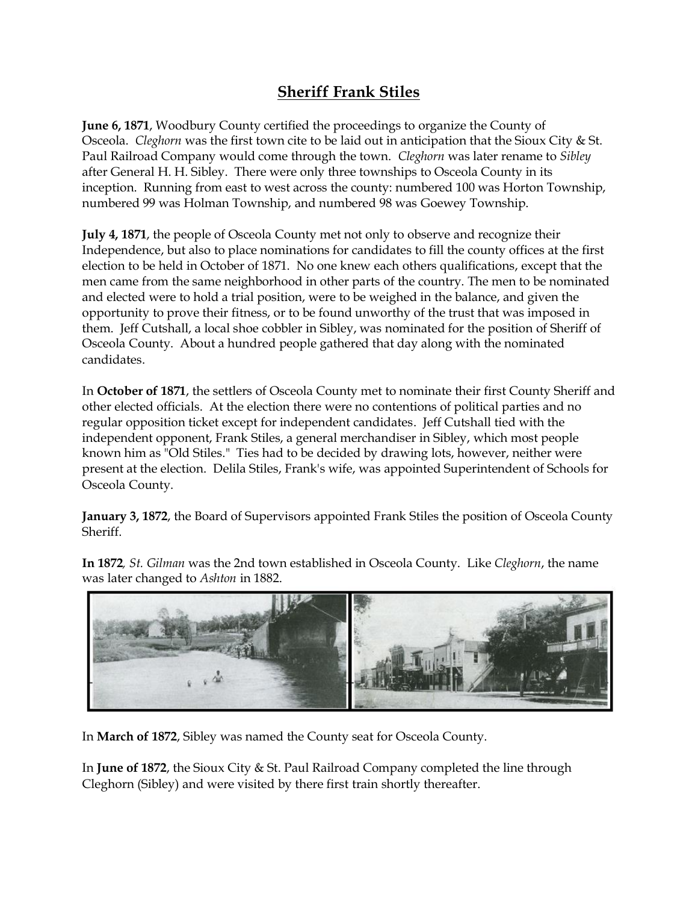## **Sheriff Frank Stiles**

**June 6, 1871**, Woodbury County certified the proceedings to organize the County of Osceola. *Cleghorn* was the first town cite to be laid out in anticipation that the Sioux City & St. Paul Railroad Company would come through the town. *Cleghorn* was later rename to *Sibley* after General H. H. Sibley. There were only three townships to Osceola County in its inception. Running from east to west across the county: numbered 100 was Horton Township, numbered 99 was Holman Township, and numbered 98 was Goewey Township.

**July 4, 1871**, the people of Osceola County met not only to observe and recognize their Independence, but also to place nominations for candidates to fill the county offices at the first election to be held in October of 1871. No one knew each others qualifications, except that the men came from the same neighborhood in other parts of the country. The men to be nominated and elected were to hold a trial position, were to be weighed in the balance, and given the opportunity to prove their fitness, or to be found unworthy of the trust that was imposed in them. Jeff Cutshall, a local shoe cobbler in Sibley, was nominated for the position of Sheriff of Osceola County. About a hundred people gathered that day along with the nominated candidates.

In **October of 1871**, the settlers of Osceola County met to nominate their first County Sheriff and other elected officials. At the election there were no contentions of political parties and no regular opposition ticket except for independent candidates. Jeff Cutshall tied with the independent opponent, Frank Stiles, a general merchandiser in Sibley, which most people known him as "Old Stiles." Ties had to be decided by drawing lots, however, neither were present at the election. Delila Stiles, Frank's wife, was appointed Superintendent of Schools for Osceola County.

**January 3, 1872**, the Board of Supervisors appointed Frank Stiles the position of Osceola County Sheriff.

**In 1872***, St. Gilman* was the 2nd town established in Osceola County. Like *Cleghorn*, the name was later changed to *Ashton* in 1882.



In **March of 1872**, Sibley was named the County seat for Osceola County.

In **June of 1872**, the Sioux City & St. Paul Railroad Company completed the line through Cleghorn (Sibley) and were visited by there first train shortly thereafter.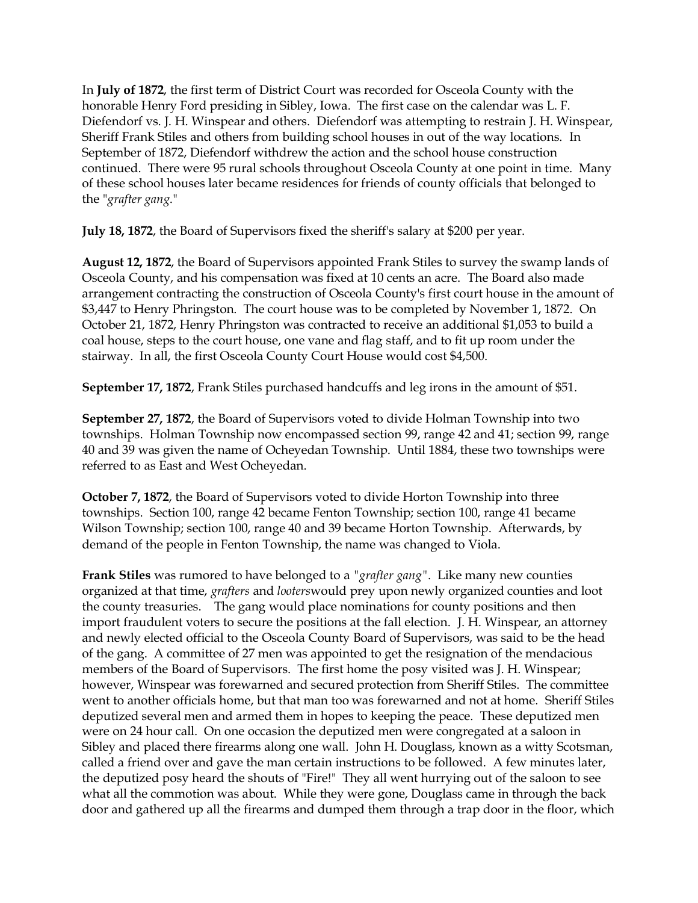In **July of 1872**, the first term of District Court was recorded for Osceola County with the honorable Henry Ford presiding in Sibley, Iowa. The first case on the calendar was L. F. Diefendorf vs. J. H. Winspear and others. Diefendorf was attempting to restrain J. H. Winspear, Sheriff Frank Stiles and others from building school houses in out of the way locations. In September of 1872, Diefendorf withdrew the action and the school house construction continued. There were 95 rural schools throughout Osceola County at one point in time. Many of these school houses later became residences for friends of county officials that belonged to the "*grafter gang*."

**July 18, 1872**, the Board of Supervisors fixed the sheriff's salary at \$200 per year.

**August 12, 1872**, the Board of Supervisors appointed Frank Stiles to survey the swamp lands of Osceola County, and his compensation was fixed at 10 cents an acre. The Board also made arrangement contracting the construction of Osceola County's first court house in the amount of \$3,447 to Henry Phringston. The court house was to be completed by November 1, 1872. On October 21, 1872, Henry Phringston was contracted to receive an additional \$1,053 to build a coal house, steps to the court house, one vane and flag staff, and to fit up room under the stairway. In all, the first Osceola County Court House would cost \$4,500.

**September 17, 1872**, Frank Stiles purchased handcuffs and leg irons in the amount of \$51.

**September 27, 1872**, the Board of Supervisors voted to divide Holman Township into two townships. Holman Township now encompassed section 99, range 42 and 41; section 99, range 40 and 39 was given the name of Ocheyedan Township. Until 1884, these two townships were referred to as East and West Ocheyedan.

**October 7, 1872**, the Board of Supervisors voted to divide Horton Township into three townships. Section 100, range 42 became Fenton Township; section 100, range 41 became Wilson Township; section 100, range 40 and 39 became Horton Township. Afterwards, by demand of the people in Fenton Township, the name was changed to Viola.

**Frank Stiles** was rumored to have belonged to a *"grafter gang"*. Like many new counties organized at that time, *grafters* and *looters*would prey upon newly organized counties and loot the county treasuries. The gang would place nominations for county positions and then import fraudulent voters to secure the positions at the fall election. J. H. Winspear, an attorney and newly elected official to the Osceola County Board of Supervisors, was said to be the head of the gang. A committee of 27 men was appointed to get the resignation of the mendacious members of the Board of Supervisors. The first home the posy visited was J. H. Winspear; however, Winspear was forewarned and secured protection from Sheriff Stiles. The committee went to another officials home, but that man too was forewarned and not at home. Sheriff Stiles deputized several men and armed them in hopes to keeping the peace. These deputized men were on 24 hour call. On one occasion the deputized men were congregated at a saloon in Sibley and placed there firearms along one wall. John H. Douglass, known as a witty Scotsman, called a friend over and gave the man certain instructions to be followed. A few minutes later, the deputized posy heard the shouts of "Fire!" They all went hurrying out of the saloon to see what all the commotion was about. While they were gone, Douglass came in through the back door and gathered up all the firearms and dumped them through a trap door in the floor, which